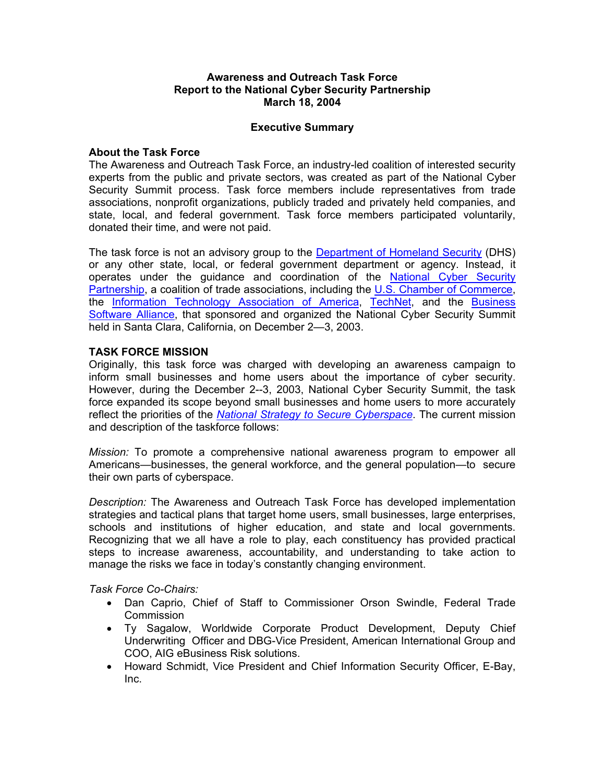#### **Awareness and Outreach Task Force Report to the National Cyber Security Partnership March 18, 2004**

## **Executive Summary**

#### **About the Task Force**

The Awareness and Outreach Task Force, an industry-led coalition of interested security experts from the public and private sectors, was created as part of the National Cyber Security Summit process. Task force members include representatives from trade associations, nonprofit organizations, publicly traded and privately held companies, and state, local, and federal government. Task force members participated voluntarily, donated their time, and were not paid.

The task force is not an advisory group to the Department of Homeland Security (DHS) or any other state, local, or federal government department or agency. Instead, it operates under the guidance and coordination of the National Cyber Security Partnership, a coalition of trade associations, including the U.S. Chamber of Commerce, the Information Technology Association of America, TechNet, and the Business Software Alliance, that sponsored and organized the National Cyber Security Summit held in Santa Clara, California, on December 2—3, 2003.

## **TASK FORCE MISSION**

Originally, this task force was charged with developing an awareness campaign to inform small businesses and home users about the importance of cyber security. However, during the December 2--3, 2003, National Cyber Security Summit, the task force expanded its scope beyond small businesses and home users to more accurately reflect the priorities of the *National Strategy to Secure Cyberspace*. The current mission and description of the taskforce follows:

*Mission:* To promote a comprehensive national awareness program to empower all Americans—businesses, the general workforce, and the general population—to secure their own parts of cyberspace.

*Description:* The Awareness and Outreach Task Force has developed implementation strategies and tactical plans that target home users, small businesses, large enterprises, schools and institutions of higher education, and state and local governments. Recognizing that we all have a role to play, each constituency has provided practical steps to increase awareness, accountability, and understanding to take action to manage the risks we face in today's constantly changing environment.

*Task Force Co-Chairs:* 

- Dan Caprio, Chief of Staff to Commissioner Orson Swindle, Federal Trade Commission
- Ty Sagalow, Worldwide Corporate Product Development, Deputy Chief Underwriting Officer and DBG-Vice President, American International Group and COO, AIG eBusiness Risk solutions.
- Howard Schmidt, Vice President and Chief Information Security Officer, E-Bay, Inc.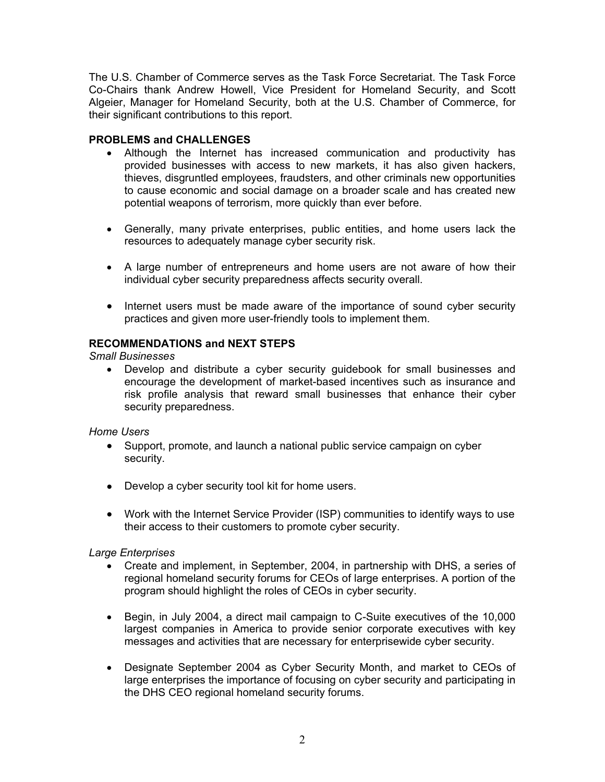The U.S. Chamber of Commerce serves as the Task Force Secretariat. The Task Force Co-Chairs thank Andrew Howell, Vice President for Homeland Security, and Scott Algeier, Manager for Homeland Security, both at the U.S. Chamber of Commerce, for their significant contributions to this report.

# **PROBLEMS and CHALLENGES**

- Although the Internet has increased communication and productivity has provided businesses with access to new markets, it has also given hackers, thieves, disgruntled employees, fraudsters, and other criminals new opportunities to cause economic and social damage on a broader scale and has created new potential weapons of terrorism, more quickly than ever before.
- Generally, many private enterprises, public entities, and home users lack the resources to adequately manage cyber security risk.
- A large number of entrepreneurs and home users are not aware of how their individual cyber security preparedness affects security overall.
- Internet users must be made aware of the importance of sound cyber security practices and given more user-friendly tools to implement them.

# **RECOMMENDATIONS and NEXT STEPS**

*Small Businesses* 

• Develop and distribute a cyber security guidebook for small businesses and encourage the development of market-based incentives such as insurance and risk profile analysis that reward small businesses that enhance their cyber security preparedness.

# *Home Users*

- Support, promote, and launch a national public service campaign on cyber security.
- Develop a cyber security tool kit for home users.
- Work with the Internet Service Provider (ISP) communities to identify ways to use their access to their customers to promote cyber security.

# *Large Enterprises*

- Create and implement, in September, 2004, in partnership with DHS, a series of regional homeland security forums for CEOs of large enterprises. A portion of the program should highlight the roles of CEOs in cyber security.
- Begin, in July 2004, a direct mail campaign to C-Suite executives of the 10,000 largest companies in America to provide senior corporate executives with key messages and activities that are necessary for enterprisewide cyber security.
- Designate September 2004 as Cyber Security Month, and market to CEOs of large enterprises the importance of focusing on cyber security and participating in the DHS CEO regional homeland security forums.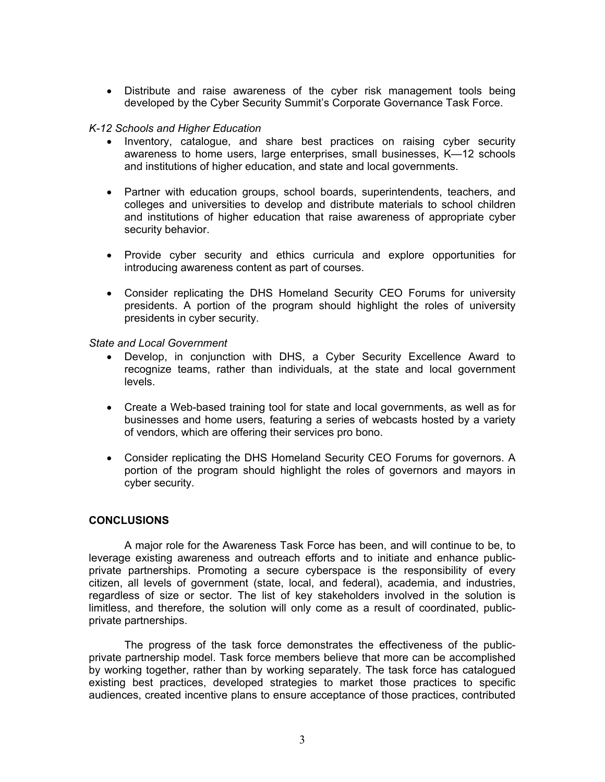• Distribute and raise awareness of the cyber risk management tools being developed by the Cyber Security Summit's Corporate Governance Task Force.

## *K-12 Schools and Higher Education*

- Inventory, catalogue, and share best practices on raising cyber security awareness to home users, large enterprises, small businesses, K—12 schools and institutions of higher education, and state and local governments.
- Partner with education groups, school boards, superintendents, teachers, and colleges and universities to develop and distribute materials to school children and institutions of higher education that raise awareness of appropriate cyber security behavior.
- Provide cyber security and ethics curricula and explore opportunities for introducing awareness content as part of courses.
- Consider replicating the DHS Homeland Security CEO Forums for university presidents. A portion of the program should highlight the roles of university presidents in cyber security.

*State and Local Government*

- Develop, in conjunction with DHS, a Cyber Security Excellence Award to recognize teams, rather than individuals, at the state and local government levels.
- Create a Web-based training tool for state and local governments, as well as for businesses and home users, featuring a series of webcasts hosted by a variety of vendors, which are offering their services pro bono.
- Consider replicating the DHS Homeland Security CEO Forums for governors. A portion of the program should highlight the roles of governors and mayors in cyber security.

#### **CONCLUSIONS**

A major role for the Awareness Task Force has been, and will continue to be, to leverage existing awareness and outreach efforts and to initiate and enhance publicprivate partnerships. Promoting a secure cyberspace is the responsibility of every citizen, all levels of government (state, local, and federal), academia, and industries, regardless of size or sector. The list of key stakeholders involved in the solution is limitless, and therefore, the solution will only come as a result of coordinated, publicprivate partnerships.

The progress of the task force demonstrates the effectiveness of the publicprivate partnership model. Task force members believe that more can be accomplished by working together, rather than by working separately. The task force has catalogued existing best practices, developed strategies to market those practices to specific audiences, created incentive plans to ensure acceptance of those practices, contributed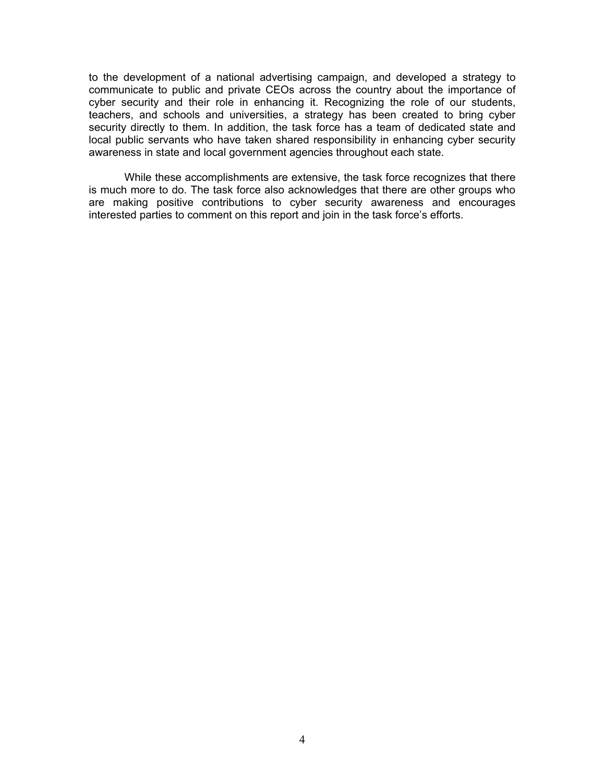to the development of a national advertising campaign, and developed a strategy to communicate to public and private CEOs across the country about the importance of cyber security and their role in enhancing it. Recognizing the role of our students, teachers, and schools and universities, a strategy has been created to bring cyber security directly to them. In addition, the task force has a team of dedicated state and local public servants who have taken shared responsibility in enhancing cyber security awareness in state and local government agencies throughout each state.

While these accomplishments are extensive, the task force recognizes that there is much more to do. The task force also acknowledges that there are other groups who are making positive contributions to cyber security awareness and encourages interested parties to comment on this report and join in the task force's efforts.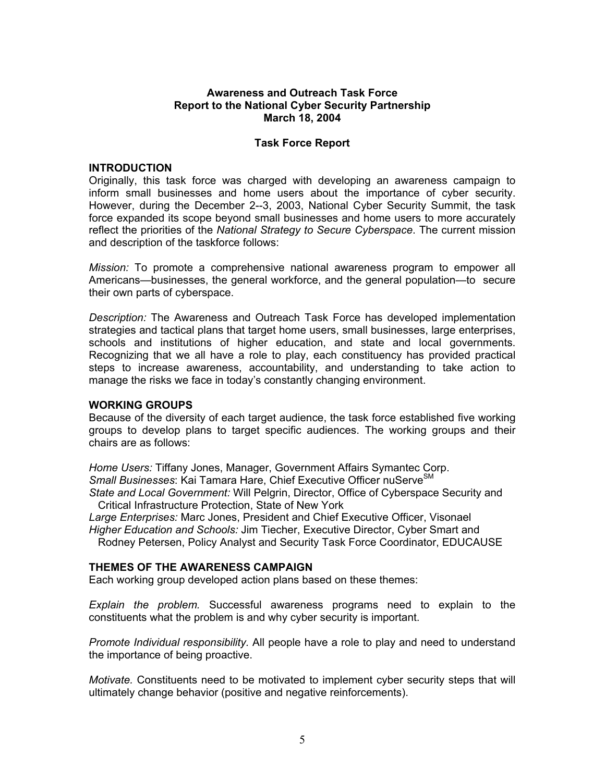#### **Awareness and Outreach Task Force Report to the National Cyber Security Partnership March 18, 2004**

## **Task Force Report**

#### **INTRODUCTION**

Originally, this task force was charged with developing an awareness campaign to inform small businesses and home users about the importance of cyber security. However, during the December 2--3, 2003, National Cyber Security Summit, the task force expanded its scope beyond small businesses and home users to more accurately reflect the priorities of the *National Strategy to Secure Cyberspace*. The current mission and description of the taskforce follows:

*Mission:* To promote a comprehensive national awareness program to empower all Americans—businesses, the general workforce, and the general population—to secure their own parts of cyberspace.

*Description:* The Awareness and Outreach Task Force has developed implementation strategies and tactical plans that target home users, small businesses, large enterprises, schools and institutions of higher education, and state and local governments. Recognizing that we all have a role to play, each constituency has provided practical steps to increase awareness, accountability, and understanding to take action to manage the risks we face in today's constantly changing environment.

#### **WORKING GROUPS**

Because of the diversity of each target audience, the task force established five working groups to develop plans to target specific audiences. The working groups and their chairs are as follows:

*Home Users:* Tiffany Jones, Manager, Government Affairs Symantec Corp. **Small Businesses: Kai Tamara Hare, Chief Executive Officer nuServe**SM *State and Local Government:* Will Pelgrin, Director, Office of Cyberspace Security and

Critical Infrastructure Protection, State of New York

*Large Enterprises:* Marc Jones, President and Chief Executive Officer, Visonael *Higher Education and Schools:* Jim Tiecher, Executive Director, Cyber Smart and

Rodney Petersen, Policy Analyst and Security Task Force Coordinator, EDUCAUSE

# **THEMES OF THE AWARENESS CAMPAIGN**

Each working group developed action plans based on these themes:

*Explain the problem.* Successful awareness programs need to explain to the constituents what the problem is and why cyber security is important.

*Promote Individual responsibility.* All people have a role to play and need to understand the importance of being proactive.

*Motivate.* Constituents need to be motivated to implement cyber security steps that will ultimately change behavior (positive and negative reinforcements).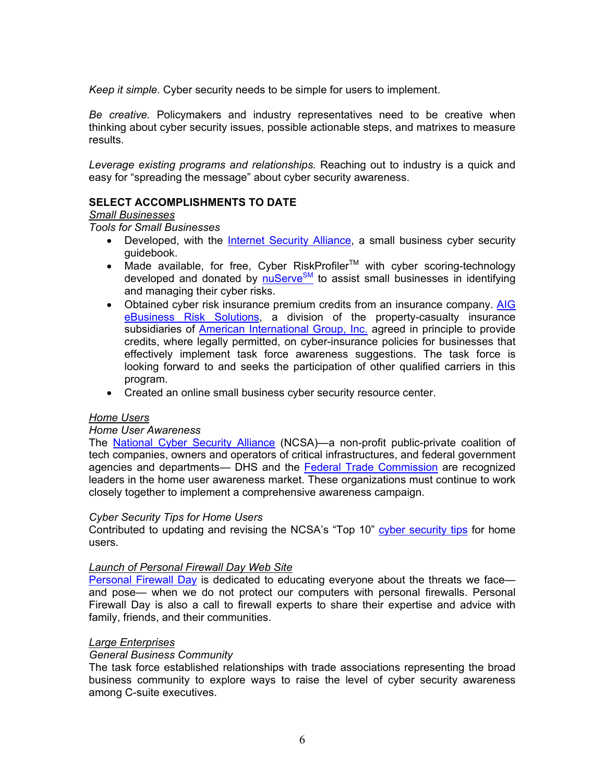*Keep it simple.* Cyber security needs to be simple for users to implement.

*Be creative.* Policymakers and industry representatives need to be creative when thinking about cyber security issues, possible actionable steps, and matrixes to measure results.

*Leverage existing programs and relationships.* Reaching out to industry is a quick and easy for "spreading the message" about cyber security awareness.

# **SELECT ACCOMPLISHMENTS TO DATE**

## *Small Businesses*

*Tools for Small Businesses* 

- Developed, with the Internet Security Alliance, a small business cyber security guidebook.
- Made available, for free, Cyber RiskProfiler<sup>TM</sup> with cyber scoring-technology developed and donated by **nuServe<sup>SM</sup>** to assist small businesses in identifying and managing their cyber risks.
- Obtained cyber risk insurance premium credits from an insurance company. AIG eBusiness Risk Solutions, a division of the property-casualty insurance subsidiaries of **American International Group, Inc.** agreed in principle to provide credits, where legally permitted, on cyber-insurance policies for businesses that effectively implement task force awareness suggestions. The task force is looking forward to and seeks the participation of other qualified carriers in this program.
- Created an online small business cyber security resource center.

#### *Home Users*

#### *Home User Awareness*

The **National Cyber Security Alliance** (NCSA)—a non-profit public-private coalition of tech companies, owners and operators of critical infrastructures, and federal government agencies and departments— DHS and the **Federal Trade Commission** are recognized leaders in the home user awareness market. These organizations must continue to work closely together to implement a comprehensive awareness campaign.

#### *Cyber Security Tips for Home Users*

Contributed to updating and revising the NCSA's "Top 10" cyber security tips for home users.

#### *Launch of Personal Firewall Day Web Site*

Personal Firewall Day is dedicated to educating everyone about the threats we face and pose— when we do not protect our computers with personal firewalls. Personal Firewall Day is also a call to firewall experts to share their expertise and advice with family, friends, and their communities.

#### *Large Enterprises*

# *General Business Community*

The task force established relationships with trade associations representing the broad business community to explore ways to raise the level of cyber security awareness among C-suite executives.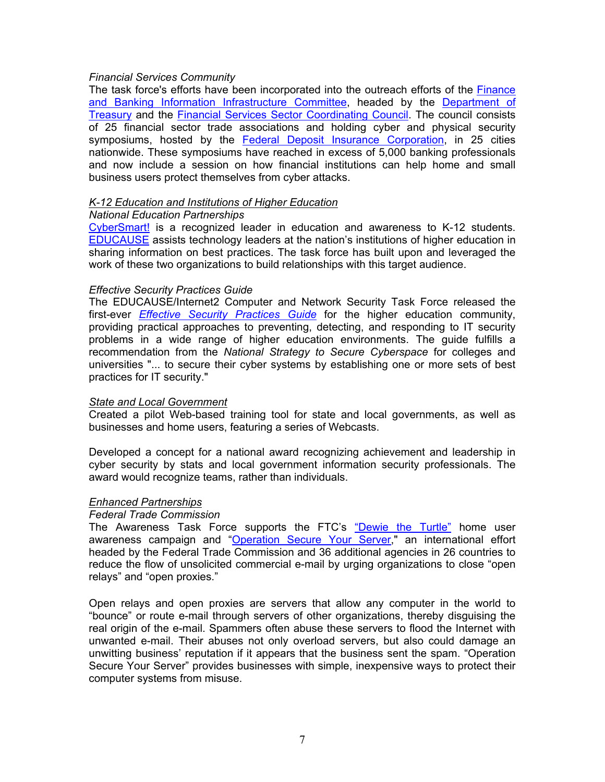## *Financial Services Community*

The task force's efforts have been incorporated into the outreach efforts of the Finance and Banking Information Infrastructure Committee, headed by the Department of Treasury and the Financial Services Sector Coordinating Council. The council consists of 25 financial sector trade associations and holding cyber and physical security symposiums, hosted by the Federal Deposit Insurance Corporation, in 25 cities nationwide. These symposiums have reached in excess of 5,000 banking professionals and now include a session on how financial institutions can help home and small business users protect themselves from cyber attacks.

## *K-12 Education and Institutions of Higher Education*

## *National Education Partnerships*

CyberSmart! is a recognized leader in education and awareness to K-12 students. EDUCAUSE assists technology leaders at the nation's institutions of higher education in sharing information on best practices. The task force has built upon and leveraged the work of these two organizations to build relationships with this target audience.

## *Effective Security Practices Guide*

The EDUCAUSE/Internet2 Computer and Network Security Task Force released the first-ever *Effective Security Practices Guide* for the higher education community, providing practical approaches to preventing, detecting, and responding to IT security problems in a wide range of higher education environments. The guide fulfills a recommendation from the *National Strategy to Secure Cyberspace* for colleges and universities "... to secure their cyber systems by establishing one or more sets of best practices for IT security."

## *State and Local Government*

Created a pilot Web-based training tool for state and local governments, as well as businesses and home users, featuring a series of Webcasts.

Developed a concept for a national award recognizing achievement and leadership in cyber security by stats and local government information security professionals. The award would recognize teams, rather than individuals.

#### *Enhanced Partnerships*

#### *Federal Trade Commission*

The Awareness Task Force supports the FTC's "Dewie the Turtle" home user awareness campaign and "Operation Secure Your Server," an international effort headed by the Federal Trade Commission and 36 additional agencies in 26 countries to reduce the flow of unsolicited commercial e-mail by urging organizations to close "open relays" and "open proxies."

Open relays and open proxies are servers that allow any computer in the world to "bounce" or route e-mail through servers of other organizations, thereby disguising the real origin of the e-mail. Spammers often abuse these servers to flood the Internet with unwanted e-mail. Their abuses not only overload servers, but also could damage an unwitting business' reputation if it appears that the business sent the spam. "Operation Secure Your Server" provides businesses with simple, inexpensive ways to protect their computer systems from misuse.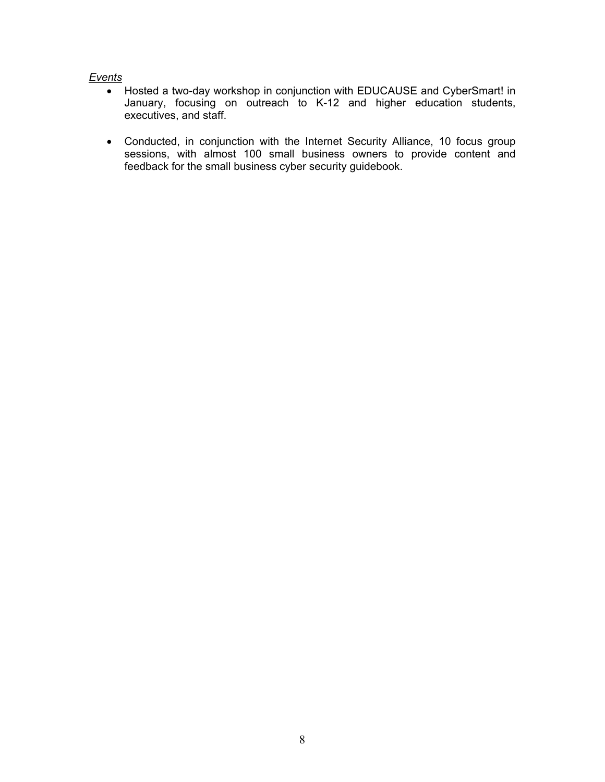## *Events*

- Hosted a two-day workshop in conjunction with EDUCAUSE and CyberSmart! in January, focusing on outreach to K-12 and higher education students, executives, and staff.
- Conducted, in conjunction with the Internet Security Alliance, 10 focus group sessions, with almost 100 small business owners to provide content and feedback for the small business cyber security guidebook.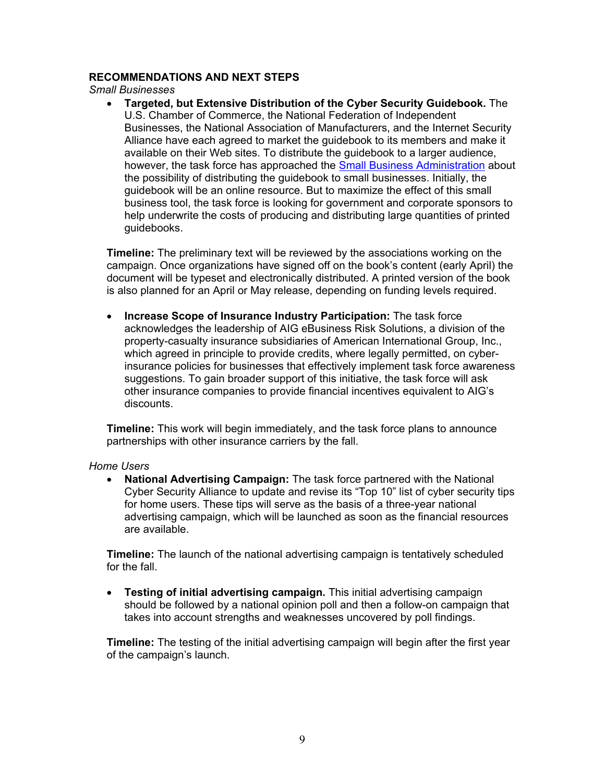## **RECOMMENDATIONS AND NEXT STEPS**

*Small Businesses*

• **Targeted, but Extensive Distribution of the Cyber Security Guidebook.** The U.S. Chamber of Commerce, the National Federation of Independent Businesses, the National Association of Manufacturers, and the Internet Security Alliance have each agreed to market the guidebook to its members and make it available on their Web sites. To distribute the guidebook to a larger audience, however, the task force has approached the Small Business Administration about the possibility of distributing the guidebook to small businesses. Initially, the guidebook will be an online resource. But to maximize the effect of this small business tool, the task force is looking for government and corporate sponsors to help underwrite the costs of producing and distributing large quantities of printed guidebooks.

**Timeline:** The preliminary text will be reviewed by the associations working on the campaign. Once organizations have signed off on the book's content (early April) the document will be typeset and electronically distributed. A printed version of the book is also planned for an April or May release, depending on funding levels required.

• **Increase Scope of Insurance Industry Participation:** The task force acknowledges the leadership of AIG eBusiness Risk Solutions, a division of the property-casualty insurance subsidiaries of American International Group, Inc., which agreed in principle to provide credits, where legally permitted, on cyberinsurance policies for businesses that effectively implement task force awareness suggestions. To gain broader support of this initiative, the task force will ask other insurance companies to provide financial incentives equivalent to AIG's discounts.

**Timeline:** This work will begin immediately, and the task force plans to announce partnerships with other insurance carriers by the fall.

#### *Home Users*

• **National Advertising Campaign:** The task force partnered with the National Cyber Security Alliance to update and revise its "Top 10" list of cyber security tips for home users. These tips will serve as the basis of a three-year national advertising campaign, which will be launched as soon as the financial resources are available.

**Timeline:** The launch of the national advertising campaign is tentatively scheduled for the fall.

• **Testing of initial advertising campaign.** This initial advertising campaign should be followed by a national opinion poll and then a follow-on campaign that takes into account strengths and weaknesses uncovered by poll findings.

**Timeline:** The testing of the initial advertising campaign will begin after the first year of the campaign's launch.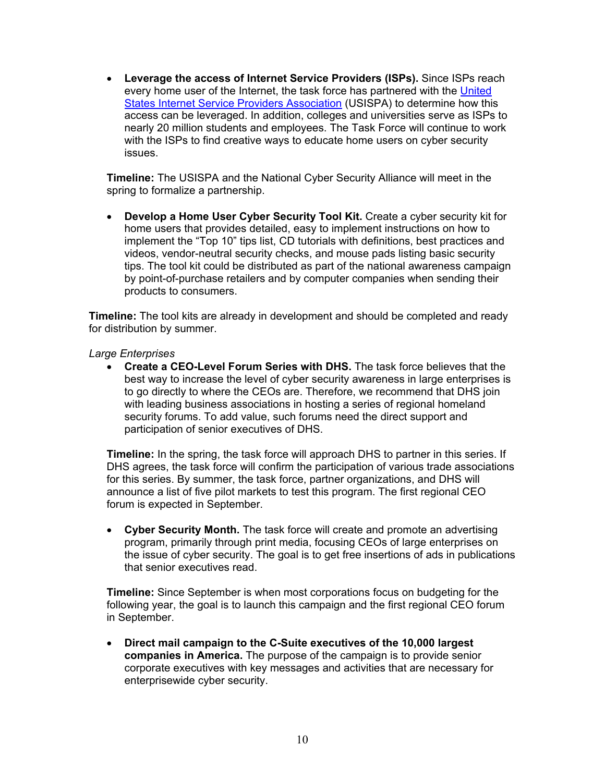• **Leverage the access of Internet Service Providers (ISPs).** Since ISPs reach every home user of the Internet, the task force has partnered with the United States Internet Service Providers Association (USISPA) to determine how this access can be leveraged. In addition, colleges and universities serve as ISPs to nearly 20 million students and employees. The Task Force will continue to work with the ISPs to find creative ways to educate home users on cyber security issues.

**Timeline:** The USISPA and the National Cyber Security Alliance will meet in the spring to formalize a partnership.

• **Develop a Home User Cyber Security Tool Kit.** Create a cyber security kit for home users that provides detailed, easy to implement instructions on how to implement the "Top 10" tips list, CD tutorials with definitions, best practices and videos, vendor-neutral security checks, and mouse pads listing basic security tips. The tool kit could be distributed as part of the national awareness campaign by point-of-purchase retailers and by computer companies when sending their products to consumers.

**Timeline:** The tool kits are already in development and should be completed and ready for distribution by summer.

#### *Large Enterprises*

• **Create a CEO-Level Forum Series with DHS.** The task force believes that the best way to increase the level of cyber security awareness in large enterprises is to go directly to where the CEOs are. Therefore, we recommend that DHS join with leading business associations in hosting a series of regional homeland security forums. To add value, such forums need the direct support and participation of senior executives of DHS.

**Timeline:** In the spring, the task force will approach DHS to partner in this series. If DHS agrees, the task force will confirm the participation of various trade associations for this series. By summer, the task force, partner organizations, and DHS will announce a list of five pilot markets to test this program. The first regional CEO forum is expected in September.

• **Cyber Security Month.** The task force will create and promote an advertising program, primarily through print media, focusing CEOs of large enterprises on the issue of cyber security. The goal is to get free insertions of ads in publications that senior executives read.

**Timeline:** Since September is when most corporations focus on budgeting for the following year, the goal is to launch this campaign and the first regional CEO forum in September.

• **Direct mail campaign to the C-Suite executives of the 10,000 largest companies in America.** The purpose of the campaign is to provide senior corporate executives with key messages and activities that are necessary for enterprisewide cyber security.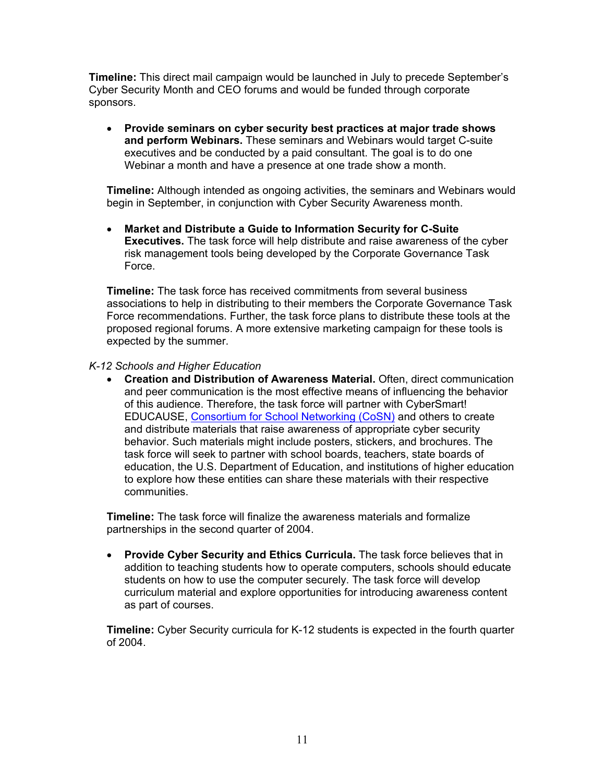**Timeline:** This direct mail campaign would be launched in July to precede September's Cyber Security Month and CEO forums and would be funded through corporate sponsors.

• **Provide seminars on cyber security best practices at major trade shows and perform Webinars.** These seminars and Webinars would target C-suite executives and be conducted by a paid consultant. The goal is to do one Webinar a month and have a presence at one trade show a month.

**Timeline:** Although intended as ongoing activities, the seminars and Webinars would begin in September, in conjunction with Cyber Security Awareness month.

• **Market and Distribute a Guide to Information Security for C-Suite Executives.** The task force will help distribute and raise awareness of the cyber risk management tools being developed by the Corporate Governance Task Force.

**Timeline:** The task force has received commitments from several business associations to help in distributing to their members the Corporate Governance Task Force recommendations. Further, the task force plans to distribute these tools at the proposed regional forums. A more extensive marketing campaign for these tools is expected by the summer.

## *K-12 Schools and Higher Education*

• **Creation and Distribution of Awareness Material.** Often, direct communication and peer communication is the most effective means of influencing the behavior of this audience. Therefore, the task force will partner with CyberSmart! EDUCAUSE, Consortium for School Networking (CoSN) and others to create and distribute materials that raise awareness of appropriate cyber security behavior. Such materials might include posters, stickers, and brochures. The task force will seek to partner with school boards, teachers, state boards of education, the U.S. Department of Education, and institutions of higher education to explore how these entities can share these materials with their respective communities.

**Timeline:** The task force will finalize the awareness materials and formalize partnerships in the second quarter of 2004.

• **Provide Cyber Security and Ethics Curricula.** The task force believes that in addition to teaching students how to operate computers, schools should educate students on how to use the computer securely. The task force will develop curriculum material and explore opportunities for introducing awareness content as part of courses.

**Timeline:** Cyber Security curricula for K-12 students is expected in the fourth quarter of 2004.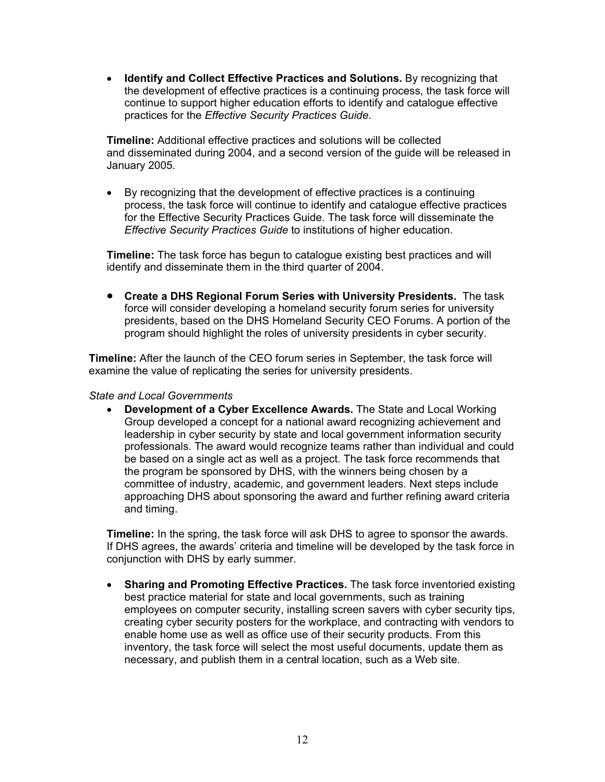• **Identify and Collect Effective Practices and Solutions.** By recognizing that the development of effective practices is a continuing process, the task force will continue to support higher education efforts to identify and catalogue effective practices for the *Effective Security Practices Guide*.

**Timeline:** Additional effective practices and solutions will be collected and disseminated during 2004, and a second version of the guide will be released in January 2005.

• By recognizing that the development of effective practices is a continuing process, the task force will continue to identify and catalogue effective practices for the Effective Security Practices Guide. The task force will disseminate the *Effective Security Practices Guide* to institutions of higher education.

**Timeline:** The task force has begun to catalogue existing best practices and will identify and disseminate them in the third quarter of 2004.

• **Create a DHS Regional Forum Series with University Presidents.** The task force will consider developing a homeland security forum series for university presidents, based on the DHS Homeland Security CEO Forums. A portion of the program should highlight the roles of university presidents in cyber security.

**Timeline:** After the launch of the CEO forum series in September, the task force will examine the value of replicating the series for university presidents.

#### *State and Local Governments*

• **Development of a Cyber Excellence Awards.** The State and Local Working Group developed a concept for a national award recognizing achievement and leadership in cyber security by state and local government information security professionals. The award would recognize teams rather than individual and could be based on a single act as well as a project. The task force recommends that the program be sponsored by DHS, with the winners being chosen by a committee of industry, academic, and government leaders. Next steps include approaching DHS about sponsoring the award and further refining award criteria and timing.

**Timeline:** In the spring, the task force will ask DHS to agree to sponsor the awards. If DHS agrees, the awards' criteria and timeline will be developed by the task force in conjunction with DHS by early summer.

• **Sharing and Promoting Effective Practices.** The task force inventoried existing best practice material for state and local governments, such as training employees on computer security, installing screen savers with cyber security tips, creating cyber security posters for the workplace, and contracting with vendors to enable home use as well as office use of their security products. From this inventory, the task force will select the most useful documents, update them as necessary, and publish them in a central location, such as a Web site.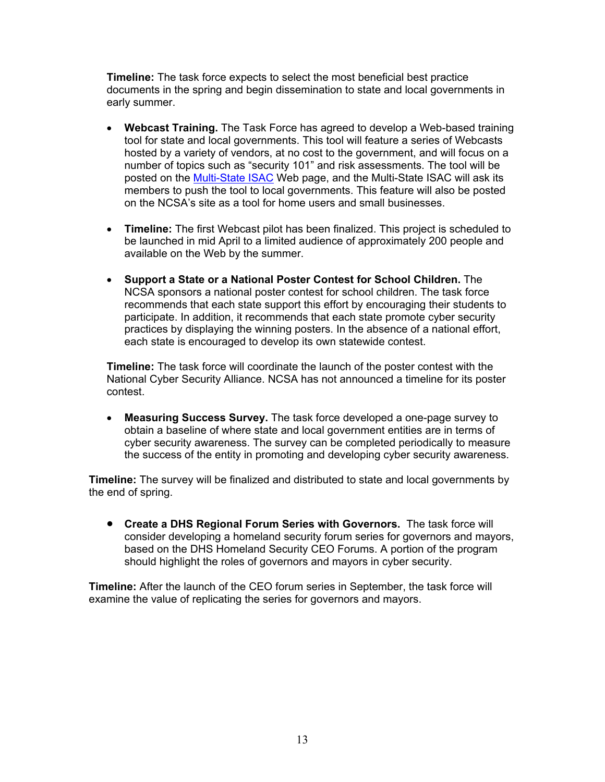**Timeline:** The task force expects to select the most beneficial best practice documents in the spring and begin dissemination to state and local governments in early summer.

- **Webcast Training.** The Task Force has agreed to develop a Web-based training tool for state and local governments. This tool will feature a series of Webcasts hosted by a variety of vendors, at no cost to the government, and will focus on a number of topics such as "security 101" and risk assessments. The tool will be posted on the **Multi-State ISAC** Web page, and the Multi-State ISAC will ask its members to push the tool to local governments. This feature will also be posted on the NCSA's site as a tool for home users and small businesses.
- **Timeline:** The first Webcast pilot has been finalized. This project is scheduled to be launched in mid April to a limited audience of approximately 200 people and available on the Web by the summer.
- **Support a State or a National Poster Contest for School Children.** The NCSA sponsors a national poster contest for school children. The task force recommends that each state support this effort by encouraging their students to participate. In addition, it recommends that each state promote cyber security practices by displaying the winning posters. In the absence of a national effort, each state is encouraged to develop its own statewide contest.

**Timeline:** The task force will coordinate the launch of the poster contest with the National Cyber Security Alliance. NCSA has not announced a timeline for its poster contest.

• **Measuring Success Survey.** The task force developed a one-page survey to obtain a baseline of where state and local government entities are in terms of cyber security awareness. The survey can be completed periodically to measure the success of the entity in promoting and developing cyber security awareness.

**Timeline:** The survey will be finalized and distributed to state and local governments by the end of spring.

• **Create a DHS Regional Forum Series with Governors.** The task force will consider developing a homeland security forum series for governors and mayors, based on the DHS Homeland Security CEO Forums. A portion of the program should highlight the roles of governors and mayors in cyber security.

**Timeline:** After the launch of the CEO forum series in September, the task force will examine the value of replicating the series for governors and mayors.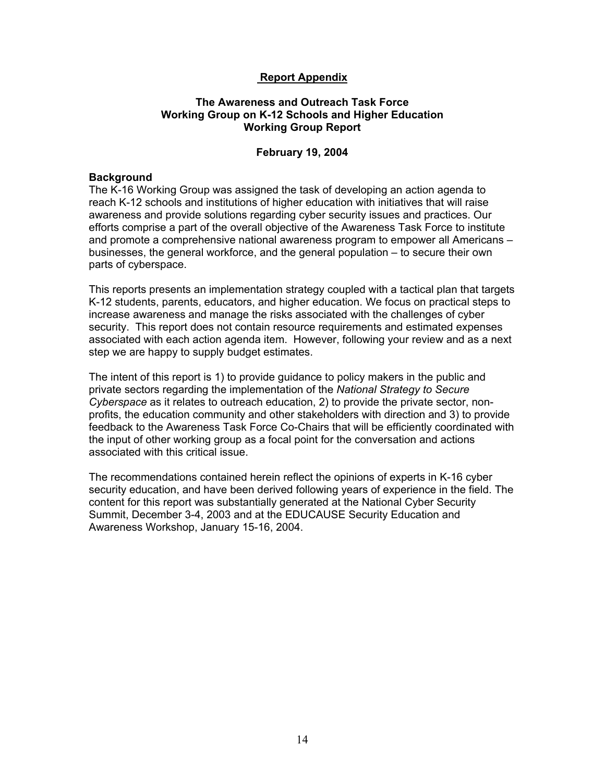# **Report Appendix**

## **The Awareness and Outreach Task Force Working Group on K-12 Schools and Higher Education Working Group Report**

## **February 19, 2004**

#### **Background**

The K-16 Working Group was assigned the task of developing an action agenda to reach K-12 schools and institutions of higher education with initiatives that will raise awareness and provide solutions regarding cyber security issues and practices. Our efforts comprise a part of the overall objective of the Awareness Task Force to institute and promote a comprehensive national awareness program to empower all Americans – businesses, the general workforce, and the general population – to secure their own parts of cyberspace.

This reports presents an implementation strategy coupled with a tactical plan that targets K-12 students, parents, educators, and higher education. We focus on practical steps to increase awareness and manage the risks associated with the challenges of cyber security. This report does not contain resource requirements and estimated expenses associated with each action agenda item. However, following your review and as a next step we are happy to supply budget estimates.

The intent of this report is 1) to provide guidance to policy makers in the public and private sectors regarding the implementation of the *National Strategy to Secure Cyberspace* as it relates to outreach education, 2) to provide the private sector, nonprofits, the education community and other stakeholders with direction and 3) to provide feedback to the Awareness Task Force Co-Chairs that will be efficiently coordinated with the input of other working group as a focal point for the conversation and actions associated with this critical issue.

The recommendations contained herein reflect the opinions of experts in K-16 cyber security education, and have been derived following years of experience in the field. The content for this report was substantially generated at the National Cyber Security Summit, December 3-4, 2003 and at the EDUCAUSE Security Education and Awareness Workshop, January 15-16, 2004.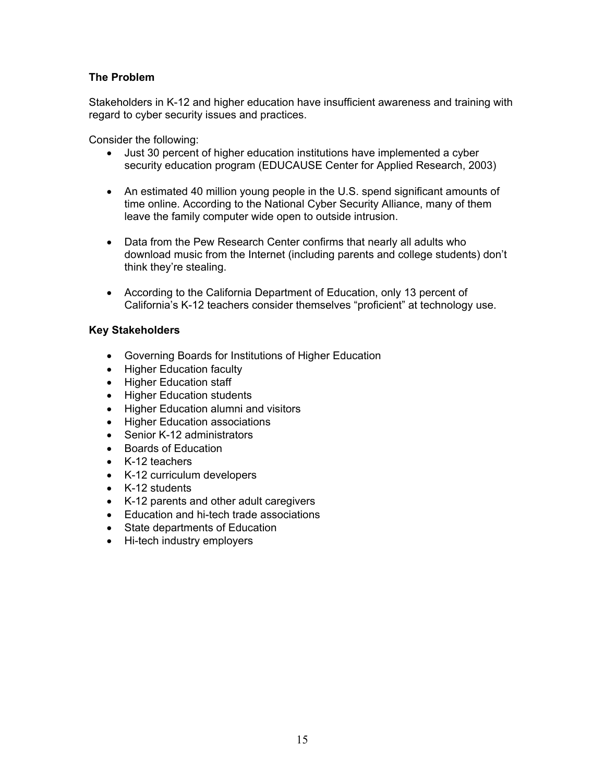# **The Problem**

Stakeholders in K-12 and higher education have insufficient awareness and training with regard to cyber security issues and practices.

Consider the following:

- Just 30 percent of higher education institutions have implemented a cyber security education program (EDUCAUSE Center for Applied Research, 2003)
- An estimated 40 million young people in the U.S. spend significant amounts of time online. According to the National Cyber Security Alliance, many of them leave the family computer wide open to outside intrusion.
- Data from the Pew Research Center confirms that nearly all adults who download music from the Internet (including parents and college students) don't think they're stealing.
- According to the California Department of Education, only 13 percent of California's K-12 teachers consider themselves "proficient" at technology use.

# **Key Stakeholders**

- Governing Boards for Institutions of Higher Education
- Higher Education faculty
- Higher Education staff
- Higher Education students
- Higher Education alumni and visitors
- Higher Education associations
- Senior K-12 administrators
- Boards of Education
- K-12 teachers
- K-12 curriculum developers
- K-12 students
- K-12 parents and other adult caregivers
- Education and hi-tech trade associations
- State departments of Education
- Hi-tech industry employers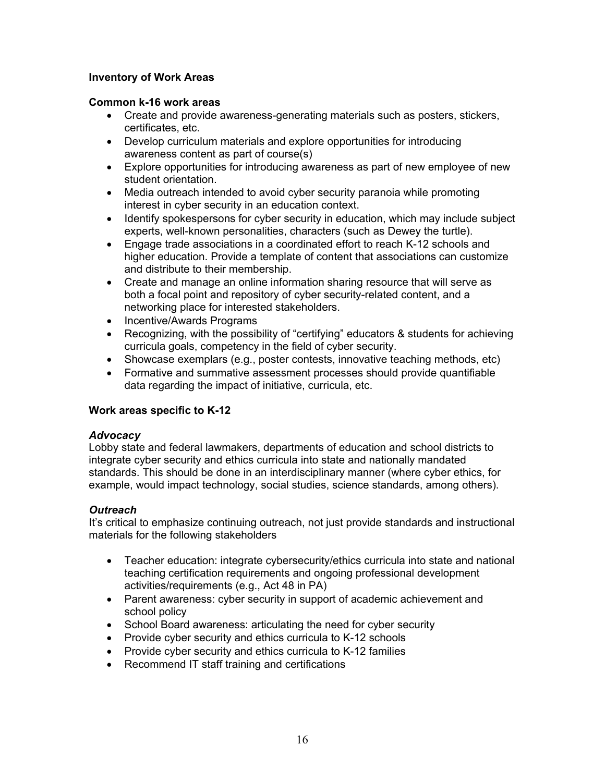# **Inventory of Work Areas**

# **Common k-16 work areas**

- Create and provide awareness-generating materials such as posters, stickers, certificates, etc.
- Develop curriculum materials and explore opportunities for introducing awareness content as part of course(s)
- Explore opportunities for introducing awareness as part of new employee of new student orientation.
- Media outreach intended to avoid cyber security paranoia while promoting interest in cyber security in an education context.
- Identify spokespersons for cyber security in education, which may include subject experts, well-known personalities, characters (such as Dewey the turtle).
- Engage trade associations in a coordinated effort to reach K-12 schools and higher education. Provide a template of content that associations can customize and distribute to their membership.
- Create and manage an online information sharing resource that will serve as both a focal point and repository of cyber security-related content, and a networking place for interested stakeholders.
- Incentive/Awards Programs
- Recognizing, with the possibility of "certifying" educators & students for achieving curricula goals, competency in the field of cyber security.
- Showcase exemplars (e.g., poster contests, innovative teaching methods, etc)
- Formative and summative assessment processes should provide quantifiable data regarding the impact of initiative, curricula, etc.

# **Work areas specific to K-12**

# *Advocacy*

Lobby state and federal lawmakers, departments of education and school districts to integrate cyber security and ethics curricula into state and nationally mandated standards. This should be done in an interdisciplinary manner (where cyber ethics, for example, would impact technology, social studies, science standards, among others).

# *Outreach*

It's critical to emphasize continuing outreach, not just provide standards and instructional materials for the following stakeholders

- Teacher education: integrate cybersecurity/ethics curricula into state and national teaching certification requirements and ongoing professional development activities/requirements (e.g., Act 48 in PA)
- Parent awareness: cyber security in support of academic achievement and school policy
- School Board awareness: articulating the need for cyber security
- Provide cyber security and ethics curricula to K-12 schools
- Provide cyber security and ethics curricula to K-12 families
- Recommend IT staff training and certifications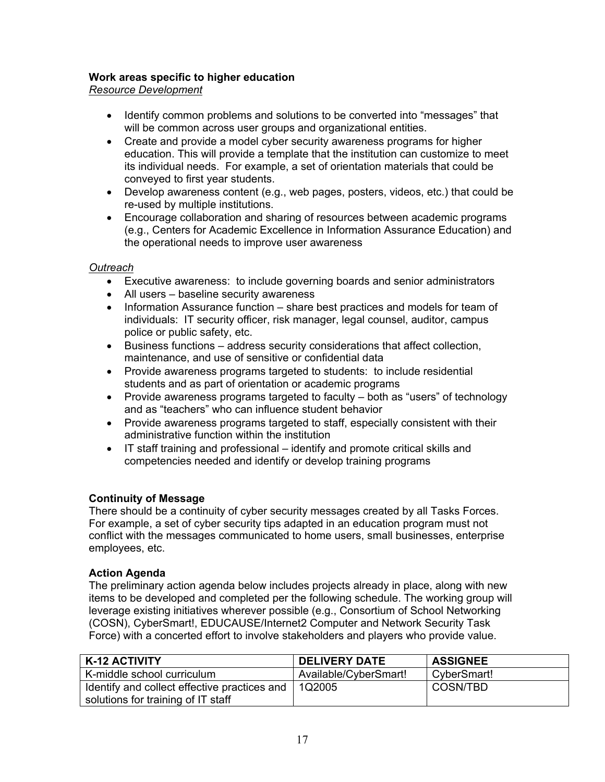# **Work areas specific to higher education**

*Resource Development*

- Identify common problems and solutions to be converted into "messages" that will be common across user groups and organizational entities.
- Create and provide a model cyber security awareness programs for higher education. This will provide a template that the institution can customize to meet its individual needs. For example, a set of orientation materials that could be conveyed to first year students.
- Develop awareness content (e.g., web pages, posters, videos, etc.) that could be re-used by multiple institutions.
- Encourage collaboration and sharing of resources between academic programs (e.g., Centers for Academic Excellence in Information Assurance Education) and the operational needs to improve user awareness

# *Outreach*

- Executive awareness: to include governing boards and senior administrators
- All users baseline security awareness
- Information Assurance function share best practices and models for team of individuals: IT security officer, risk manager, legal counsel, auditor, campus police or public safety, etc.
- Business functions address security considerations that affect collection, maintenance, and use of sensitive or confidential data
- Provide awareness programs targeted to students: to include residential students and as part of orientation or academic programs
- Provide awareness programs targeted to faculty both as "users" of technology and as "teachers" who can influence student behavior
- Provide awareness programs targeted to staff, especially consistent with their administrative function within the institution
- IT staff training and professional identify and promote critical skills and competencies needed and identify or develop training programs

# **Continuity of Message**

There should be a continuity of cyber security messages created by all Tasks Forces. For example, a set of cyber security tips adapted in an education program must not conflict with the messages communicated to home users, small businesses, enterprise employees, etc.

# **Action Agenda**

The preliminary action agenda below includes projects already in place, along with new items to be developed and completed per the following schedule. The working group will leverage existing initiatives wherever possible (e.g., Consortium of School Networking (COSN), CyberSmart!, EDUCAUSE/Internet2 Computer and Network Security Task Force) with a concerted effort to involve stakeholders and players who provide value.

| K-12 ACTIVITY                                | <b>DELIVERY DATE</b>  | <b>ASSIGNEE</b> |
|----------------------------------------------|-----------------------|-----------------|
| K-middle school curriculum                   | Available/CyberSmart! | CyberSmart!     |
| Identify and collect effective practices and | 1Q2005                | COSN/TBD        |
| solutions for training of IT staff           |                       |                 |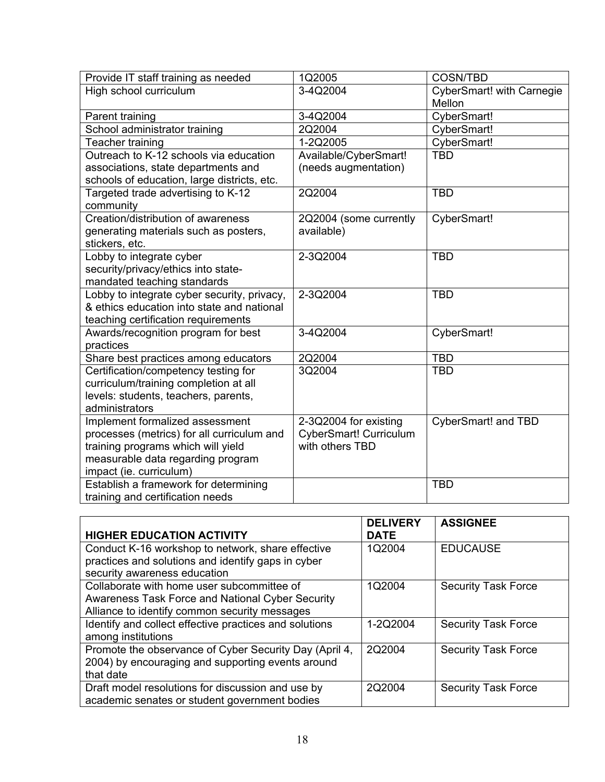| Provide IT staff training as needed         | 1Q2005                        | <b>COSN/TBD</b>                            |
|---------------------------------------------|-------------------------------|--------------------------------------------|
| High school curriculum                      | 3-4Q2004                      | <b>CyberSmart! with Carnegie</b><br>Mellon |
| Parent training                             | 3-4Q2004                      | CyberSmart!                                |
| School administrator training               | 2Q2004                        | CyberSmart!                                |
| Teacher training                            | 1-2Q2005                      | CyberSmart!                                |
| Outreach to K-12 schools via education      | Available/CyberSmart!         | <b>TBD</b>                                 |
| associations, state departments and         | (needs augmentation)          |                                            |
| schools of education, large districts, etc. |                               |                                            |
| Targeted trade advertising to K-12          | 2Q2004                        | <b>TBD</b>                                 |
| community                                   |                               |                                            |
| Creation/distribution of awareness          | 2Q2004 (some currently        | CyberSmart!                                |
| generating materials such as posters,       | available)                    |                                            |
| stickers, etc.                              |                               |                                            |
| Lobby to integrate cyber                    | 2-3Q2004                      | <b>TBD</b>                                 |
| security/privacy/ethics into state-         |                               |                                            |
| mandated teaching standards                 |                               |                                            |
| Lobby to integrate cyber security, privacy, | 2-3Q2004                      | <b>TBD</b>                                 |
| & ethics education into state and national  |                               |                                            |
| teaching certification requirements         |                               |                                            |
| Awards/recognition program for best         | 3-4Q2004                      | CyberSmart!                                |
| practices                                   |                               |                                            |
| Share best practices among educators        | 2Q2004                        | <b>TBD</b>                                 |
| Certification/competency testing for        | 3Q2004                        | <b>TBD</b>                                 |
| curriculum/training completion at all       |                               |                                            |
| levels: students, teachers, parents,        |                               |                                            |
| administrators                              |                               |                                            |
| Implement formalized assessment             | 2-3Q2004 for existing         | <b>CyberSmart! and TBD</b>                 |
| processes (metrics) for all curriculum and  | <b>CyberSmart! Curriculum</b> |                                            |
| training programs which will yield          | with others TBD               |                                            |
| measurable data regarding program           |                               |                                            |
| impact (ie. curriculum)                     |                               |                                            |
| Establish a framework for determining       |                               | <b>TBD</b>                                 |
| training and certification needs            |                               |                                            |

|                                                        | <b>DELIVERY</b> | <b>ASSIGNEE</b>            |
|--------------------------------------------------------|-----------------|----------------------------|
| <b>HIGHER EDUCATION ACTIVITY</b>                       | <b>DATE</b>     |                            |
| Conduct K-16 workshop to network, share effective      | 1Q2004          | <b>EDUCAUSE</b>            |
| practices and solutions and identify gaps in cyber     |                 |                            |
| security awareness education                           |                 |                            |
| Collaborate with home user subcommittee of             | 1Q2004          | <b>Security Task Force</b> |
| Awareness Task Force and National Cyber Security       |                 |                            |
| Alliance to identify common security messages          |                 |                            |
| Identify and collect effective practices and solutions | 1-2Q2004        | <b>Security Task Force</b> |
| among institutions                                     |                 |                            |
| Promote the observance of Cyber Security Day (April 4, | 2Q2004          | <b>Security Task Force</b> |
| 2004) by encouraging and supporting events around      |                 |                            |
| that date                                              |                 |                            |
| Draft model resolutions for discussion and use by      | 2Q2004          | <b>Security Task Force</b> |
| academic senates or student government bodies          |                 |                            |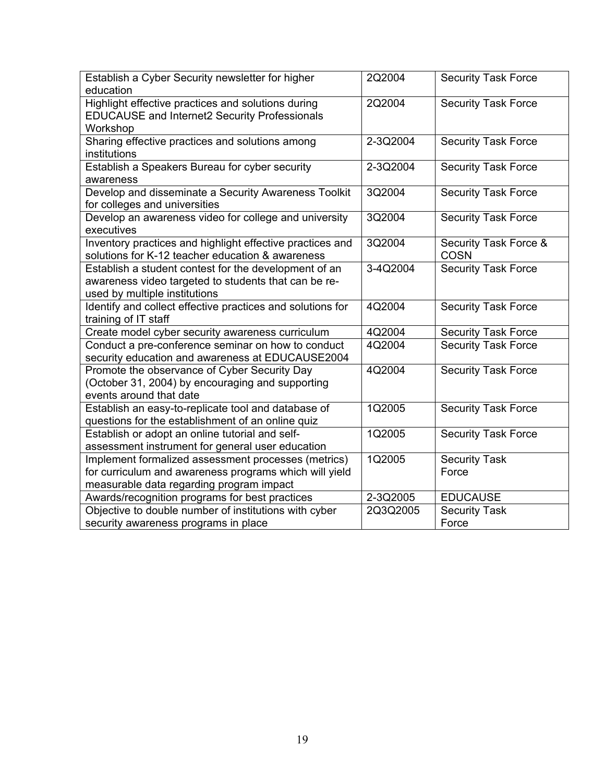| Establish a Cyber Security newsletter for higher           | 2Q2004   | <b>Security Task Force</b> |
|------------------------------------------------------------|----------|----------------------------|
| education                                                  |          |                            |
| Highlight effective practices and solutions during         | 2Q2004   | <b>Security Task Force</b> |
| <b>EDUCAUSE and Internet2 Security Professionals</b>       |          |                            |
| Workshop                                                   |          |                            |
| Sharing effective practices and solutions among            | 2-3Q2004 | <b>Security Task Force</b> |
| institutions                                               |          |                            |
| Establish a Speakers Bureau for cyber security             | 2-3Q2004 | <b>Security Task Force</b> |
| awareness                                                  |          |                            |
| Develop and disseminate a Security Awareness Toolkit       | 3Q2004   | <b>Security Task Force</b> |
| for colleges and universities                              |          |                            |
| Develop an awareness video for college and university      | 3Q2004   | <b>Security Task Force</b> |
| executives                                                 |          |                            |
| Inventory practices and highlight effective practices and  | 3Q2004   | Security Task Force &      |
| solutions for K-12 teacher education & awareness           |          | <b>COSN</b>                |
| Establish a student contest for the development of an      | 3-4Q2004 | <b>Security Task Force</b> |
| awareness video targeted to students that can be re-       |          |                            |
| used by multiple institutions                              |          |                            |
| Identify and collect effective practices and solutions for | 4Q2004   | <b>Security Task Force</b> |
| training of IT staff                                       |          |                            |
| Create model cyber security awareness curriculum           | 4Q2004   | <b>Security Task Force</b> |
| Conduct a pre-conference seminar on how to conduct         | 4Q2004   | <b>Security Task Force</b> |
| security education and awareness at EDUCAUSE2004           |          |                            |
| Promote the observance of Cyber Security Day               | 4Q2004   | <b>Security Task Force</b> |
| (October 31, 2004) by encouraging and supporting           |          |                            |
| events around that date                                    |          |                            |
| Establish an easy-to-replicate tool and database of        | 1Q2005   | <b>Security Task Force</b> |
| questions for the establishment of an online quiz          |          |                            |
| Establish or adopt an online tutorial and self-            | 1Q2005   | <b>Security Task Force</b> |
| assessment instrument for general user education           |          |                            |
| Implement formalized assessment processes (metrics)        | 1Q2005   | <b>Security Task</b>       |
| for curriculum and awareness programs which will yield     |          | Force                      |
| measurable data regarding program impact                   |          |                            |
| Awards/recognition programs for best practices             | 2-3Q2005 | <b>EDUCAUSE</b>            |
| Objective to double number of institutions with cyber      | 2Q3Q2005 | <b>Security Task</b>       |
| security awareness programs in place                       |          | Force                      |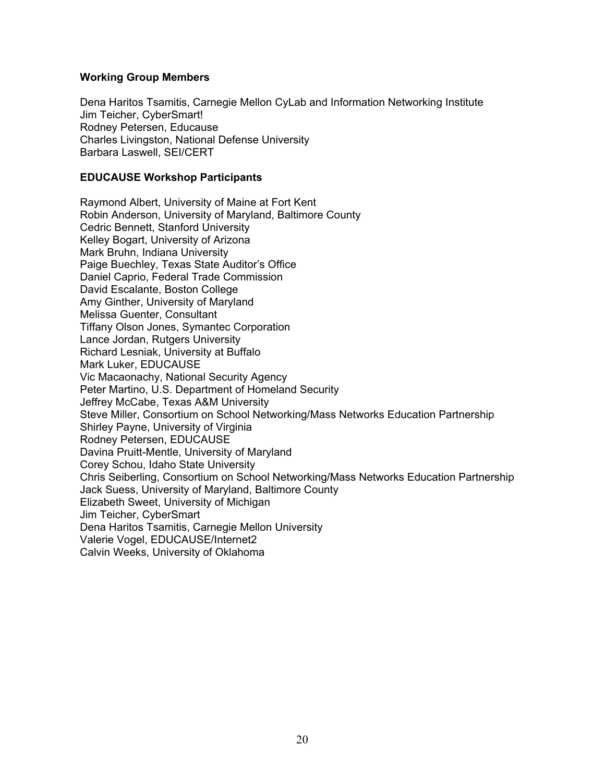## **Working Group Members**

Dena Haritos Tsamitis, Carnegie Mellon CyLab and Information Networking Institute Jim Teicher, CyberSmart! Rodney Petersen, Educause Charles Livingston, National Defense University Barbara Laswell, SEI/CERT

## **EDUCAUSE Workshop Participants**

Raymond Albert, University of Maine at Fort Kent Robin Anderson, University of Maryland, Baltimore County Cedric Bennett, Stanford University Kelley Bogart, University of Arizona Mark Bruhn, Indiana University Paige Buechley, Texas State Auditor's Office Daniel Caprio, Federal Trade Commission David Escalante, Boston College Amy Ginther, University of Maryland Melissa Guenter, Consultant Tiffany Olson Jones, Symantec Corporation Lance Jordan, Rutgers University Richard Lesniak, University at Buffalo Mark Luker, EDUCAUSE Vic Macaonachy, National Security Agency Peter Martino, U.S. Department of Homeland Security Jeffrey McCabe, Texas A&M University Steve Miller, Consortium on School Networking/Mass Networks Education Partnership Shirley Payne, University of Virginia Rodney Petersen, EDUCAUSE Davina Pruitt-Mentle, University of Maryland Corey Schou, Idaho State University Chris Seiberling, Consortium on School Networking/Mass Networks Education Partnership Jack Suess, University of Maryland, Baltimore County Elizabeth Sweet, University of Michigan Jim Teicher, CyberSmart Dena Haritos Tsamitis, Carnegie Mellon University Valerie Vogel, EDUCAUSE/Internet2 Calvin Weeks, University of Oklahoma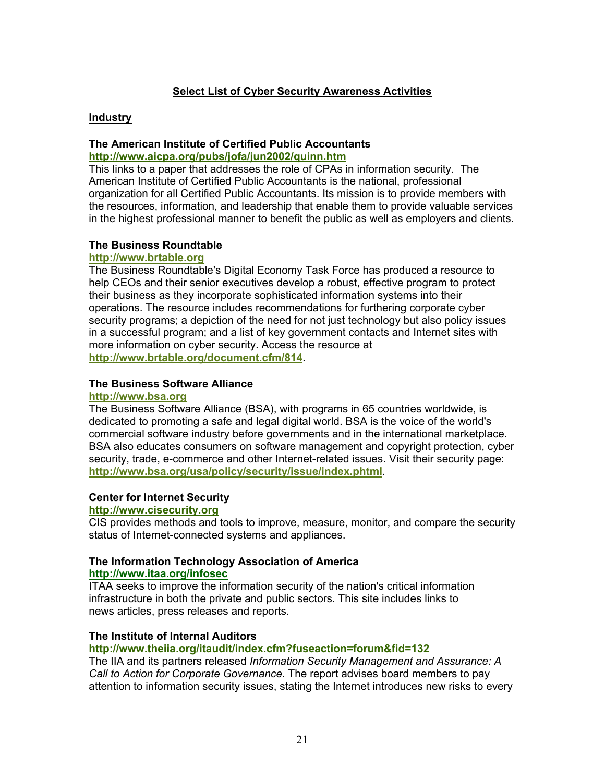# **Select List of Cyber Security Awareness Activities**

## **Industry**

# **The American Institute of Certified Public Accountants http://www.aicpa.org/pubs/jofa/jun2002/quinn.htm**

This links to a paper that addresses the role of CPAs in information security. The American Institute of Certified Public Accountants is the national, professional organization for all Certified Public Accountants. Its mission is to provide members with the resources, information, and leadership that enable them to provide valuable services in the highest professional manner to benefit the public as well as employers and clients.

## **The Business Roundtable**

#### **http://www.brtable.org**

The Business Roundtable's Digital Economy Task Force has produced a resource to help CEOs and their senior executives develop a robust, effective program to protect their business as they incorporate sophisticated information systems into their operations. The resource includes recommendations for furthering corporate cyber security programs; a depiction of the need for not just technology but also policy issues in a successful program; and a list of key government contacts and Internet sites with more information on cyber security. Access the resource at **http://www.brtable.org/document.cfm/814**.

## **The Business Software Alliance**

## **http://www.bsa.org**

The Business Software Alliance (BSA), with programs in 65 countries worldwide, is dedicated to promoting a safe and legal digital world. BSA is the voice of the world's commercial software industry before governments and in the international marketplace. BSA also educates consumers on software management and copyright protection, cyber security, trade, e-commerce and other Internet-related issues. Visit their security page: **http://www.bsa.org/usa/policy/security/issue/index.phtml**.

# **Center for Internet Security**

## **http://www.cisecurity.org**

CIS provides methods and tools to improve, measure, monitor, and compare the security status of Internet-connected systems and appliances.

# **The Information Technology Association of America**

# **http://www.itaa.org/infosec**

ITAA seeks to improve the information security of the nation's critical information infrastructure in both the private and public sectors. This site includes links to news articles, press releases and reports.

#### **The Institute of Internal Auditors**

# **http://www.theiia.org/itaudit/index.cfm?fuseaction=forum&fid=132**

The IIA and its partners released *Information Security Management and Assurance: A Call to Action for Corporate Governance*. The report advises board members to pay attention to information security issues, stating the Internet introduces new risks to every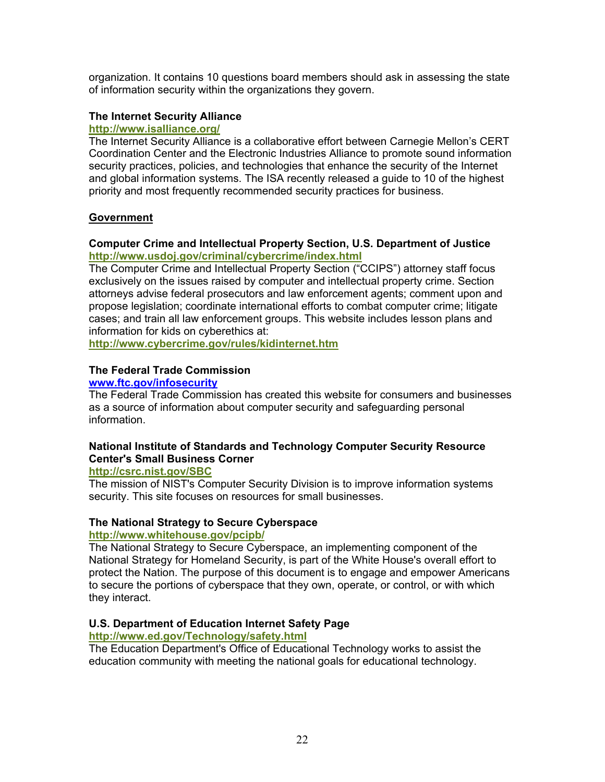organization. It contains 10 questions board members should ask in assessing the state of information security within the organizations they govern.

# **The Internet Security Alliance**

#### **http://www.isalliance.org/**

The Internet Security Alliance is a collaborative effort between Carnegie Mellon's CERT Coordination Center and the Electronic Industries Alliance to promote sound information security practices, policies, and technologies that enhance the security of the Internet and global information systems. The ISA recently released a guide to 10 of the highest priority and most frequently recommended security practices for business.

## **Government**

# **Computer Crime and Intellectual Property Section, U.S. Department of Justice http://www.usdoj.gov/criminal/cybercrime/index.html**

The Computer Crime and Intellectual Property Section ("CCIPS") attorney staff focus exclusively on the issues raised by computer and intellectual property crime. Section attorneys advise federal prosecutors and law enforcement agents; comment upon and propose legislation; coordinate international efforts to combat computer crime; litigate cases; and train all law enforcement groups. This website includes lesson plans and information for kids on cyberethics at:

**http://www.cybercrime.gov/rules/kidinternet.htm** 

## **The Federal Trade Commission**

## **www.ftc.gov/infosecurity**

The Federal Trade Commission has created this website for consumers and businesses as a source of information about computer security and safeguarding personal information.

## **National Institute of Standards and Technology Computer Security Resource Center's Small Business Corner**

#### **http://csrc.nist.gov/SBC**

The mission of NIST's Computer Security Division is to improve information systems security. This site focuses on resources for small businesses.

#### **The National Strategy to Secure Cyberspace**

#### **http://www.whitehouse.gov/pcipb/**

The National Strategy to Secure Cyberspace, an implementing component of the National Strategy for Homeland Security, is part of the White House's overall effort to protect the Nation. The purpose of this document is to engage and empower Americans to secure the portions of cyberspace that they own, operate, or control, or with which they interact.

#### **U.S. Department of Education Internet Safety Page**

#### **http://www.ed.gov/Technology/safety.html**

The Education Department's Office of Educational Technology works to assist the education community with meeting the national goals for educational technology.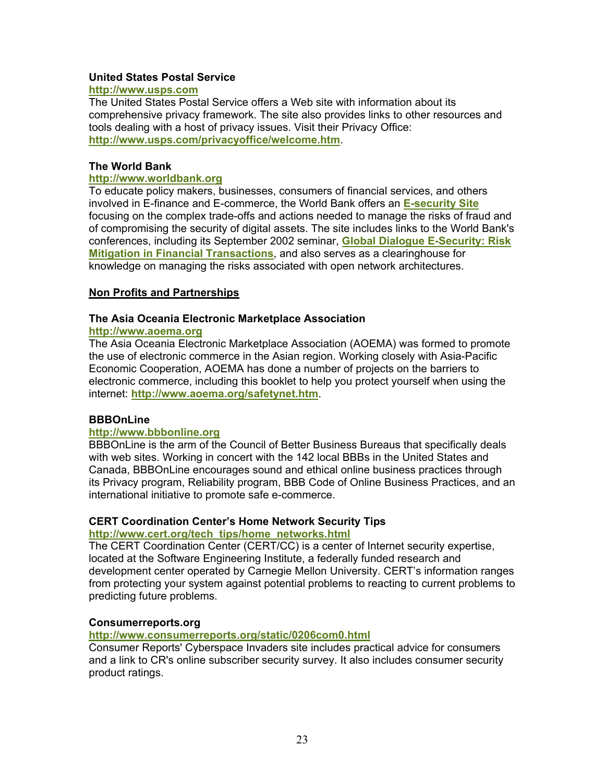## **United States Postal Service**

# **http://www.usps.com**

The United States Postal Service offers a Web site with information about its comprehensive privacy framework. The site also provides links to other resources and tools dealing with a host of privacy issues. Visit their Privacy Office: **http://www.usps.com/privacyoffice/welcome.htm**.

## **The World Bank**

## **http://www.worldbank.org**

To educate policy makers, businesses, consumers of financial services, and others involved in E-finance and E-commerce, the World Bank offers an **E-security Site** focusing on the complex trade-offs and actions needed to manage the risks of fraud and of compromising the security of digital assets. The site includes links to the World Bank's conferences, including its September 2002 seminar, **Global Dialogue E-Security: Risk Mitigation in Financial Transactions**, and also serves as a clearinghouse for knowledge on managing the risks associated with open network architectures.

## **Non Profits and Partnerships**

## **The Asia Oceania Electronic Marketplace Association**

## **http://www.aoema.org**

The Asia Oceania Electronic Marketplace Association (AOEMA) was formed to promote the use of electronic commerce in the Asian region. Working closely with Asia-Pacific Economic Cooperation, AOEMA has done a number of projects on the barriers to electronic commerce, including this booklet to help you protect yourself when using the internet: **http://www.aoema.org/safetynet.htm**.

# **BBBOnLine**

#### **http://www.bbbonline.org**

BBBOnLine is the arm of the Council of Better Business Bureaus that specifically deals with web sites. Working in concert with the 142 local BBBs in the United States and Canada, BBBOnLine encourages sound and ethical online business practices through its Privacy program, Reliability program, BBB Code of Online Business Practices, and an international initiative to promote safe e-commerce.

# **CERT Coordination Center's Home Network Security Tips**

# **http://www.cert.org/tech\_tips/home\_networks.html**

The CERT Coordination Center (CERT/CC) is a center of Internet security expertise, located at the Software Engineering Institute, a federally funded research and development center operated by Carnegie Mellon University. CERT's information ranges from protecting your system against potential problems to reacting to current problems to predicting future problems.

#### **Consumerreports.org**

# **http://www.consumerreports.org/static/0206com0.html**

Consumer Reports' Cyberspace Invaders site includes practical advice for consumers and a link to CR's online subscriber security survey. It also includes consumer security product ratings.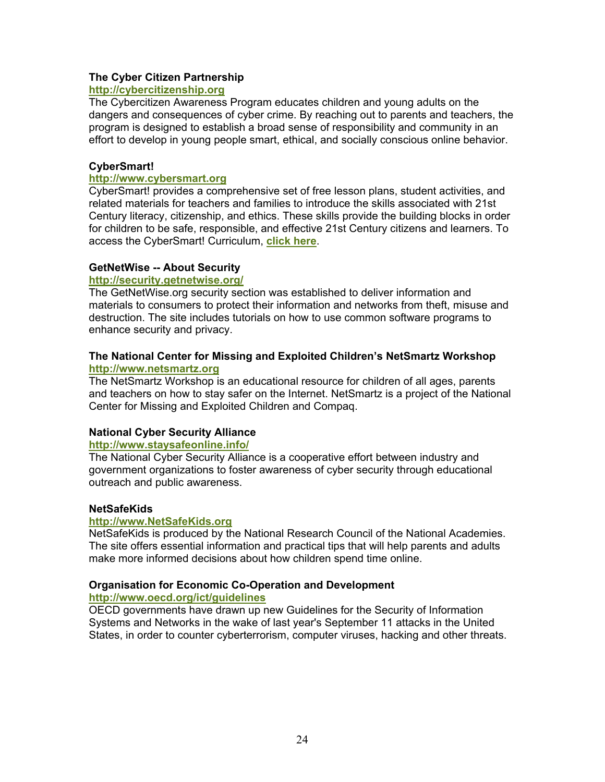## **The Cyber Citizen Partnership**

# **http://cybercitizenship.org**

The Cybercitizen Awareness Program educates children and young adults on the dangers and consequences of cyber crime. By reaching out to parents and teachers, the program is designed to establish a broad sense of responsibility and community in an effort to develop in young people smart, ethical, and socially conscious online behavior.

## **CyberSmart!**

## **http://www.cybersmart.org**

CyberSmart! provides a comprehensive set of free lesson plans, student activities, and related materials for teachers and families to introduce the skills associated with 21st Century literacy, citizenship, and ethics. These skills provide the building blocks in order for children to be safe, responsible, and effective 21st Century citizens and learners. To access the CyberSmart! Curriculum, **click here**.

#### **GetNetWise -- About Security**

## **http://security.getnetwise.org/**

The GetNetWise.org security section was established to deliver information and materials to consumers to protect their information and networks from theft, misuse and destruction. The site includes tutorials on how to use common software programs to enhance security and privacy.

## **The National Center for Missing and Exploited Children's NetSmartz Workshop http://www.netsmartz.org**

The NetSmartz Workshop is an educational resource for children of all ages, parents and teachers on how to stay safer on the Internet. NetSmartz is a project of the National Center for Missing and Exploited Children and Compaq.

# **National Cyber Security Alliance**

#### **http://www.staysafeonline.info/**

The National Cyber Security Alliance is a cooperative effort between industry and government organizations to foster awareness of cyber security through educational outreach and public awareness.

#### **NetSafeKids**

# **http://www.NetSafeKids.org**

NetSafeKids is produced by the National Research Council of the National Academies. The site offers essential information and practical tips that will help parents and adults make more informed decisions about how children spend time online.

# **Organisation for Economic Co-Operation and Development**

## **http://www.oecd.org/ict/guidelines**

OECD governments have drawn up new Guidelines for the Security of Information Systems and Networks in the wake of last year's September 11 attacks in the United States, in order to counter cyberterrorism, computer viruses, hacking and other threats.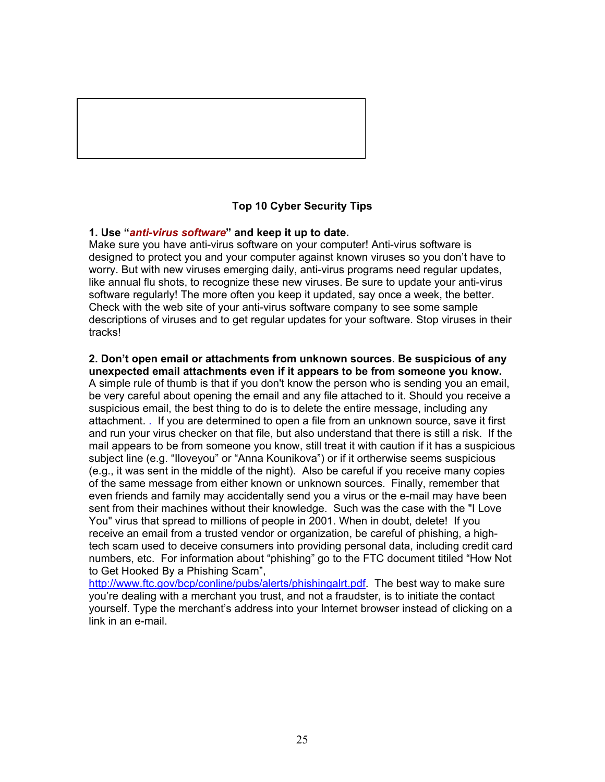

# **Top 10 Cyber Security Tips**

## **1. Use "***anti-virus software***" and keep it up to date.**

Make sure you have anti-virus software on your computer! Anti-virus software is designed to protect you and your computer against known viruses so you don't have to worry. But with new viruses emerging daily, anti-virus programs need regular updates, like annual flu shots, to recognize these new viruses. Be sure to update your anti-virus software regularly! The more often you keep it updated, say once a week, the better. Check with the web site of your anti-virus software company to see some sample descriptions of viruses and to get regular updates for your software. Stop viruses in their tracks!

#### **2. Don't open email or attachments from unknown sources. Be suspicious of any unexpected email attachments even if it appears to be from someone you know.**

A simple rule of thumb is that if you don't know the person who is sending you an email, be very careful about opening the email and any file attached to it. Should you receive a suspicious email, the best thing to do is to delete the entire message, including any attachment. . If you are determined to open a file from an unknown source, save it first and run your virus checker on that file, but also understand that there is still a risk. If the mail appears to be from someone you know, still treat it with caution if it has a suspicious subject line (e.g. "Iloveyou" or "Anna Kounikova") or if it ortherwise seems suspicious (e.g., it was sent in the middle of the night). Also be careful if you receive many copies of the same message from either known or unknown sources. Finally, remember that even friends and family may accidentally send you a virus or the e-mail may have been sent from their machines without their knowledge. Such was the case with the "I Love You" virus that spread to millions of people in 2001. When in doubt, delete! If you receive an email from a trusted vendor or organization, be careful of phishing, a hightech scam used to deceive consumers into providing personal data, including credit card numbers, etc. For information about "phishing" go to the FTC document titiled "How Not to Get Hooked By a Phishing Scam",

http://www.ftc.gov/bcp/conline/pubs/alerts/phishingalrt.pdf. The best way to make sure you're dealing with a merchant you trust, and not a fraudster, is to initiate the contact yourself. Type the merchant's address into your Internet browser instead of clicking on a link in an e-mail.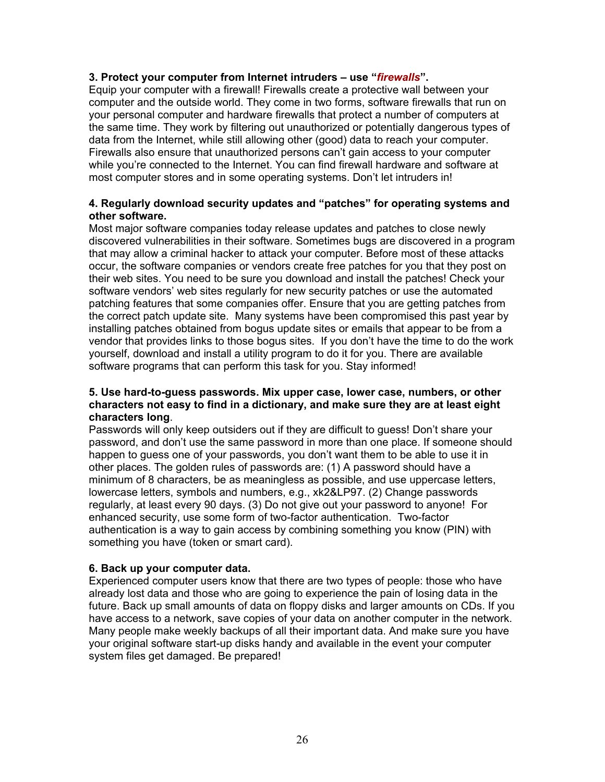# **3. Protect your computer from Internet intruders – use "***firewalls***".**

Equip your computer with a firewall! Firewalls create a protective wall between your computer and the outside world. They come in two forms, software firewalls that run on your personal computer and hardware firewalls that protect a number of computers at the same time. They work by filtering out unauthorized or potentially dangerous types of data from the Internet, while still allowing other (good) data to reach your computer. Firewalls also ensure that unauthorized persons can't gain access to your computer while you're connected to the Internet. You can find firewall hardware and software at most computer stores and in some operating systems. Don't let intruders in!

# **4. Regularly download security updates and "patches" for operating systems and other software.**

Most major software companies today release updates and patches to close newly discovered vulnerabilities in their software. Sometimes bugs are discovered in a program that may allow a criminal hacker to attack your computer. Before most of these attacks occur, the software companies or vendors create free patches for you that they post on their web sites. You need to be sure you download and install the patches! Check your software vendors' web sites regularly for new security patches or use the automated patching features that some companies offer. Ensure that you are getting patches from the correct patch update site. Many systems have been compromised this past year by installing patches obtained from bogus update sites or emails that appear to be from a vendor that provides links to those bogus sites. If you don't have the time to do the work yourself, download and install a utility program to do it for you. There are available software programs that can perform this task for you. Stay informed!

## **5. Use hard-to-guess passwords. Mix upper case, lower case, numbers, or other characters not easy to find in a dictionary, and make sure they are at least eight characters long**.

Passwords will only keep outsiders out if they are difficult to guess! Don't share your password, and don't use the same password in more than one place. If someone should happen to guess one of your passwords, you don't want them to be able to use it in other places. The golden rules of passwords are: (1) A password should have a minimum of 8 characters, be as meaningless as possible, and use uppercase letters, lowercase letters, symbols and numbers, e.g., xk2&LP97. (2) Change passwords regularly, at least every 90 days. (3) Do not give out your password to anyone! For enhanced security, use some form of two-factor authentication. Two-factor authentication is a way to gain access by combining something you know (PIN) with something you have (token or smart card).

# **6. Back up your computer data.**

Experienced computer users know that there are two types of people: those who have already lost data and those who are going to experience the pain of losing data in the future. Back up small amounts of data on floppy disks and larger amounts on CDs. If you have access to a network, save copies of your data on another computer in the network. Many people make weekly backups of all their important data. And make sure you have your original software start-up disks handy and available in the event your computer system files get damaged. Be prepared!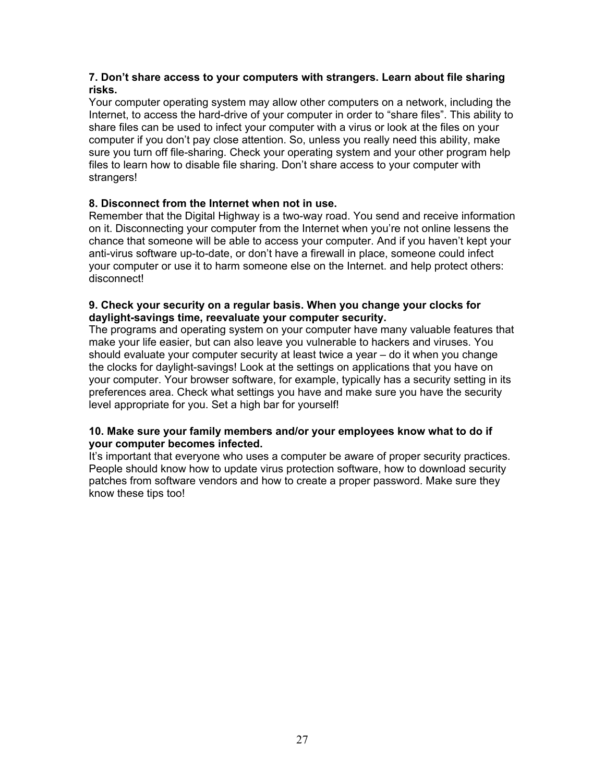# **7. Don't share access to your computers with strangers. Learn about file sharing risks.**

Your computer operating system may allow other computers on a network, including the Internet, to access the hard-drive of your computer in order to "share files". This ability to share files can be used to infect your computer with a virus or look at the files on your computer if you don't pay close attention. So, unless you really need this ability, make sure you turn off file-sharing. Check your operating system and your other program help files to learn how to disable file sharing. Don't share access to your computer with strangers!

# **8. Disconnect from the Internet when not in use.**

Remember that the Digital Highway is a two-way road. You send and receive information on it. Disconnecting your computer from the Internet when you're not online lessens the chance that someone will be able to access your computer. And if you haven't kept your anti-virus software up-to-date, or don't have a firewall in place, someone could infect your computer or use it to harm someone else on the Internet. and help protect others: disconnect!

# **9. Check your security on a regular basis. When you change your clocks for daylight-savings time, reevaluate your computer security.**

The programs and operating system on your computer have many valuable features that make your life easier, but can also leave you vulnerable to hackers and viruses. You should evaluate your computer security at least twice a year – do it when you change the clocks for daylight-savings! Look at the settings on applications that you have on your computer. Your browser software, for example, typically has a security setting in its preferences area. Check what settings you have and make sure you have the security level appropriate for you. Set a high bar for yourself!

# **10. Make sure your family members and/or your employees know what to do if your computer becomes infected.**

It's important that everyone who uses a computer be aware of proper security practices. People should know how to update virus protection software, how to download security patches from software vendors and how to create a proper password. Make sure they know these tips too!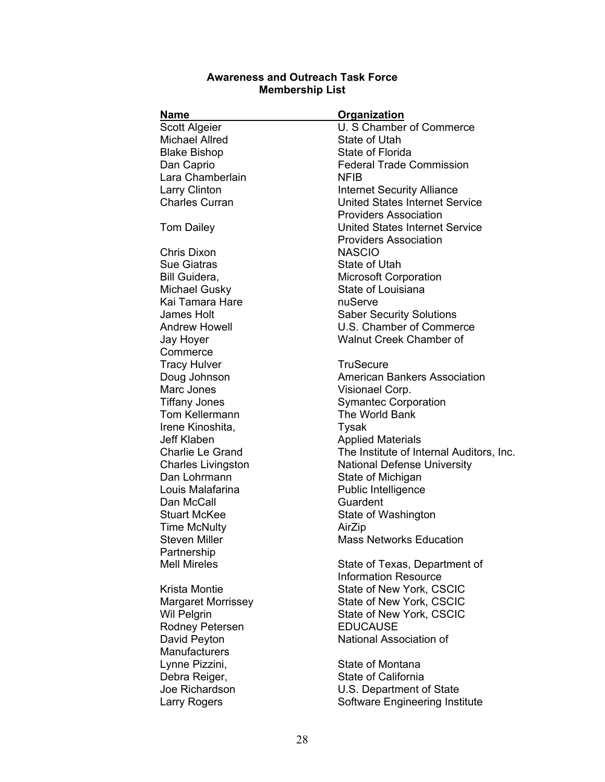# **Awareness and Outreach Task Force Membership List**

| <b>Name</b>               | <b>Organization</b>                      |
|---------------------------|------------------------------------------|
| <b>Scott Algeier</b>      | U. S Chamber of Commerce                 |
| <b>Michael Allred</b>     | State of Utah                            |
| <b>Blake Bishop</b>       | State of Florida                         |
| Dan Caprio                | <b>Federal Trade Commission</b>          |
| Lara Chamberlain          | <b>NFIB</b>                              |
| Larry Clinton             | <b>Internet Security Alliance</b>        |
| <b>Charles Curran</b>     | <b>United States Internet Service</b>    |
|                           | <b>Providers Association</b>             |
| <b>Tom Dailey</b>         | <b>United States Internet Service</b>    |
|                           | <b>Providers Association</b>             |
| Chris Dixon               | <b>NASCIO</b>                            |
| <b>Sue Giatras</b>        | State of Utah                            |
| Bill Guidera,             | <b>Microsoft Corporation</b>             |
| Michael Gusky             | State of Louisiana                       |
| Kai Tamara Hare           | nuServe                                  |
| James Holt                | <b>Saber Security Solutions</b>          |
| <b>Andrew Howell</b>      | U.S. Chamber of Commerce                 |
| Jay Hoyer                 | <b>Walnut Creek Chamber of</b>           |
| Commerce                  |                                          |
| <b>Tracy Hulver</b>       | <b>TruSecure</b>                         |
| Doug Johnson              | <b>American Bankers Association</b>      |
| Marc Jones                | Visionael Corp.                          |
| <b>Tiffany Jones</b>      | <b>Symantec Corporation</b>              |
| Tom Kellermann            | The World Bank                           |
| Irene Kinoshita,          | Tysak                                    |
| <b>Jeff Klaben</b>        | <b>Applied Materials</b>                 |
| <b>Charlie Le Grand</b>   | The Institute of Internal Auditors, Inc. |
| <b>Charles Livingston</b> | <b>National Defense University</b>       |
| Dan Lohrmann              | State of Michigan                        |
| Louis Malafarina          | Public Intelligence                      |
| Dan McCall                | Guardent                                 |
| <b>Stuart McKee</b>       | State of Washington                      |
| <b>Time McNulty</b>       | AirZip                                   |
| <b>Steven Miller</b>      | <b>Mass Networks Education</b>           |
| Partnership               |                                          |
| <b>Mell Mireles</b>       | State of Texas, Department of            |
|                           | Information Resource                     |
| Krista Montie             | State of New York, CSCIC                 |
| <b>Margaret Morrissey</b> | State of New York, CSCIC                 |
| <b>Wil Pelgrin</b>        | State of New York, CSCIC                 |
| Rodney Petersen           | <b>EDUCAUSE</b>                          |
| David Peyton              | National Association of                  |
| <b>Manufacturers</b>      |                                          |
| Lynne Pizzini,            | State of Montana                         |
| Debra Reiger,             | <b>State of California</b>               |
| Joe Richardson            | U.S. Department of State                 |
| <b>Larry Rogers</b>       | Software Engineering Institute           |